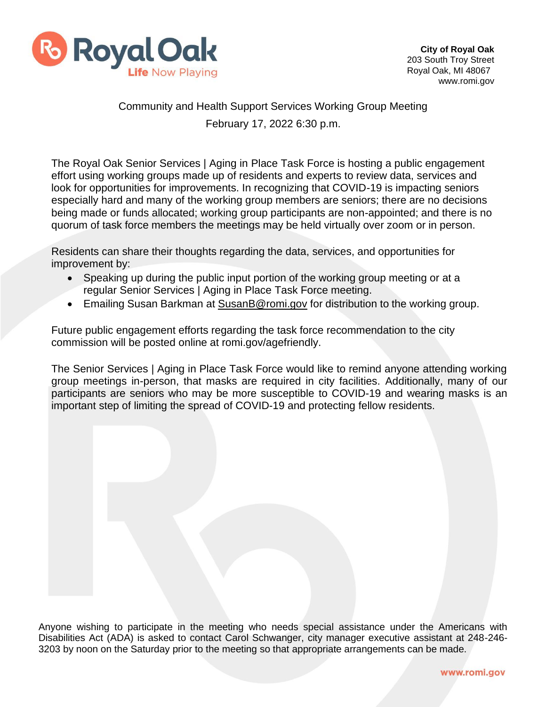

## Community and Health Support Services Working Group Meeting February 17, 2022 6:30 p.m.

The Royal Oak Senior Services | Aging in Place Task Force is hosting a public engagement effort using working groups made up of residents and experts to review data, services and look for opportunities for improvements. In recognizing that COVID-19 is impacting seniors especially hard and many of the working group members are seniors; there are no decisions being made or funds allocated; working group participants are non-appointed; and there is no quorum of task force members the meetings may be held virtually over zoom or in person.

Residents can share their thoughts regarding the data, services, and opportunities for improvement by:

- Speaking up during the public input portion of the working group meeting or at a regular Senior Services | Aging in Place Task Force meeting.
- Emailing Susan Barkman at [SusanB@romi.gov](mailto:SusanB@romi.gov) for distribution to the working group.

Future public engagement efforts regarding the task force recommendation to the city commission will be posted online at romi.gov/agefriendly.

The Senior Services | Aging in Place Task Force would like to remind anyone attending working group meetings in-person, that masks are required in city facilities. Additionally, many of our participants are seniors who may be more susceptible to COVID-19 and wearing masks is an important step of limiting the spread of COVID-19 and protecting fellow residents.

Anyone wishing to participate in the meeting who needs special assistance under the Americans with Disabilities Act (ADA) is asked to contact Carol Schwanger, city manager executive assistant at 248-246- 3203 by noon on the Saturday prior to the meeting so that appropriate arrangements can be made.